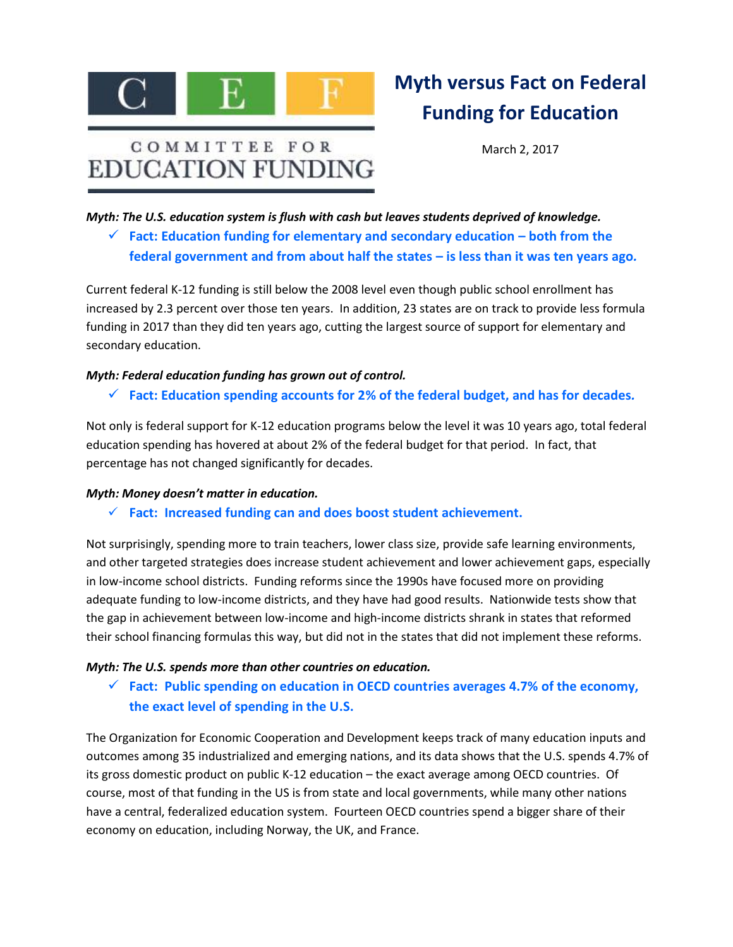

# COMMITTEE FOR **EDUCATION FUNDING**

# **Myth versus Fact on Federal Funding for Education**

March 2, 2017

*Myth: The U.S. education system is flush with cash but leaves students deprived of knowledge.*

 **Fact: Education funding for elementary and secondary education – both from the federal government and from about half the states – is less than it was ten years ago***.* 

Current federal K-12 funding is still below the 2008 level even though public school enrollment has increased by 2.3 percent over those ten years. In addition, 23 states are on track to provide less formula funding in 2017 than they did ten years ago, cutting the largest source of support for elementary and secondary education.

#### *Myth: Federal education funding has grown out of control.*

**Fact: Education spending accounts for 2% of the federal budget, and has for decades***.*

Not only is federal support for K-12 education programs below the level it was 10 years ago, total federal education spending has hovered at about 2% of the federal budget for that period. In fact, that percentage has not changed significantly for decades.

#### *Myth: Money doesn't matter in education.*

**Fact: Increased funding can and does boost student achievement.**

Not surprisingly, spending more to train teachers, lower class size, provide safe learning environments, and other targeted strategies does increase student achievement and lower achievement gaps, especially in low-income school districts. Funding reforms since the 1990s have focused more on providing adequate funding to low-income districts, and they have had good results. Nationwide tests show that the gap in achievement between low-income and high-income districts shrank in states that reformed their school financing formulas this way, but did not in the states that did not implement these reforms.

#### *Myth: The U.S. spends more than other countries on education.*

 **Fact: Public spending on education in OECD countries averages 4.7% of the economy, the exact level of spending in the U.S.** 

The Organization for Economic Cooperation and Development keeps track of many education inputs and outcomes among 35 industrialized and emerging nations, and its data shows that the U.S. spends 4.7% of its gross domestic product on public K-12 education – the exact average among OECD countries. Of course, most of that funding in the US is from state and local governments, while many other nations have a central, federalized education system. Fourteen OECD countries spend a bigger share of their economy on education, including Norway, the UK, and France.